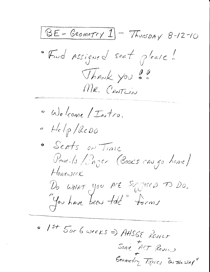$\underline{\text{BE}-Geometry\text{1}} - \overline{\text{Yhusohy}} 8-12-10$ · Find Assigned seat please! Thank you !! MR. CANTUIN · We come / Intro.  $-$  Help/ReDO · Serts on Time Pencils / Pager (Books can go home) Honowerk Do WHAT you Are Sygned TO DO. You have been told" forms  $\circ$  1st 5or 6 weeks => AHSGE Revier

Some ACT Revis

Geometry Topics ON THEWAY"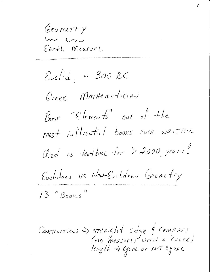Geometry m un EArth Measure

 $Euclid, \sim 300 BC$ Greek MATHEMATICIAN Book "Elements" one of the most influential books ever weitten. Clsed as  $+e$ x + book  $+e$  > 2000 years! Euclidean US Non-Euclidean Geometry  $13$  "Books"

Constructions => STRAight Edge & COMPASS<br>(NO measures WITH A rueck)<br>length => EguAL Or NOT EguAL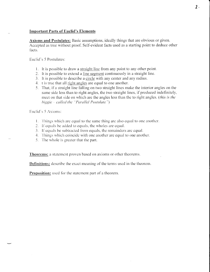## **Important Parts of Euclid's Elements**

Axioms and Postulates: Basic assumptions, ideally things that are obvious or given. Accepted as true without proof. Self-evident facts used as a starting point to deduce other facts.

Euclid's 5 Postulates:

- 1. It is possible to draw a straight line from any point to any other point.
- 2. It is possible to extend a line segment continuously in a straight line.
- 3. It is possible to describe a circle with any center and any radius.
- 4. t is true that all right angles are equal to one another.
- 5. That, if a straight line falling on two straight lines make the interior angles on the same side less than to right angles, the two straight lines, if produced indefinitely, meet on that side on which are the angles less than the to right angles. (this is the biggie - called the "Parallel Postulate")

Euclid's 5 Axioms:

- 1. Things which are equal to the same thing are also equal to one another.
- 2. If equals be added to equals, the wholes are equal.
- 3. If equals be subtracted from equals, the remainders are equal.
- 4. Things which coincide with one another are equal to one another.
- 5. The whole is greater that the part.

Theorems: a statement proven based on axioms or other theorems.

Definitions: describe the exact meaning of the terms used in the theorem.

Proposition: used for the statement part of a theorem.